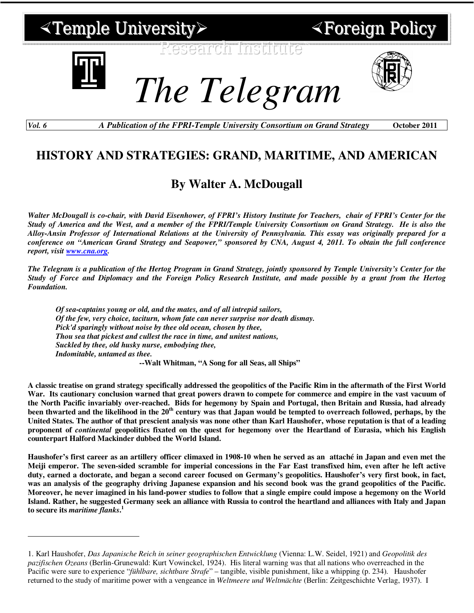

 $\overline{a}$ 

Foreign Policy

*The Telegram*

*Vol. 6 A Publication of the FPRI-Temple University Consortium on Grand Strategy* **October 2011** 

## **HISTORY AND STRATEGIES: GRAND, MARITIME, AND AMERICAN**

## **By Walter A. McDougall**

*Walter McDougall is co-chair, with David Eisenhower, of FPRI's History Institute for Teachers, chair of FPRI's Center for the Study of America and the West, and a member of the FPRI/Temple University Consortium on Grand Strategy. He is also the Alloy-Ansin Professor of International Relations at the University of Pennsylvania. This essay was originally prepared for a conference on "American Grand Strategy and Seapower," sponsored by CNA, August 4, 2011. To obtain the full conference report, visit www.cna.org.* 

*The Telegram is a publication of the Hertog Program in Grand Strategy, jointly sponsored by Temple University's Center for the Study of Force and Diplomacy and the Foreign Policy Research Institute, and made possible by a grant from the Hertog Foundation.* 

*Of sea-captains young or old, and the mates, and of all intrepid sailors, Of the few, very choice, taciturn, whom fate can never surprise nor death dismay. Pick'd sparingly without noise by thee old ocean, chosen by thee, Thou sea that pickest and cullest the race in time, and unitest nations, Suckled by thee, old husky nurse, embodying thee, Indomitable, untamed as thee.* 

**--Walt Whitman, "A Song for all Seas, all Ships"** 

**A classic treatise on grand strategy specifically addressed the geopolitics of the Pacific Rim in the aftermath of the First World War. Its cautionary conclusion warned that great powers drawn to compete for commerce and empire in the vast vacuum of the North Pacific invariably over-reached. Bids for hegemony by Spain and Portugal, then Britain and Russia, had already been thwarted and the likelihood in the 20th century was that Japan would be tempted to overreach followed, perhaps, by the United States. The author of that prescient analysis was none other than Karl Haushofer, whose reputation is that of a leading proponent of** *continental* **geopolitics fixated on the quest for hegemony over the Heartland of Eurasia, which his English counterpart Halford Mackinder dubbed the World Island.** 

**Haushofer's first career as an artillery officer climaxed in 1908-10 when he served as an attaché in Japan and even met the Meiji emperor. The seven-sided scramble for imperial concessions in the Far East transfixed him, even after he left active duty, earned a doctorate, and began a second career focused on Germany's geopolitics. Haushofer's very first book, in fact, was an analysis of the geography driving Japanese expansion and his second book was the grand geopolitics of the Pacific. Moreover, he never imagined in his land-power studies to follow that a single empire could impose a hegemony on the World Island. Rather, he suggested Germany seek an alliance with Russia to control the heartland and alliances with Italy and Japan to secure its** *maritime flanks***. 1**

<sup>1.</sup> Karl Haushofer, *Das Japanische Reich in seiner geographischen Entwicklung* (Vienna: L.W. Seidel, 1921) and *Geopolitik des pazifischen Ozeans* (Berlin-Grunewald: Kurt Vowinckel, 1924). His literal warning was that all nations who overreached in the Pacific were sure to experience "*fühlbare, sichtbare Strafe*" – tangible, visible punishment, like a whipping (p. 234). Haushofer returned to the study of maritime power with a vengeance in *Weltmeere und Weltmächte* (Berlin: Zeitgeschichte Verlag, 1937). I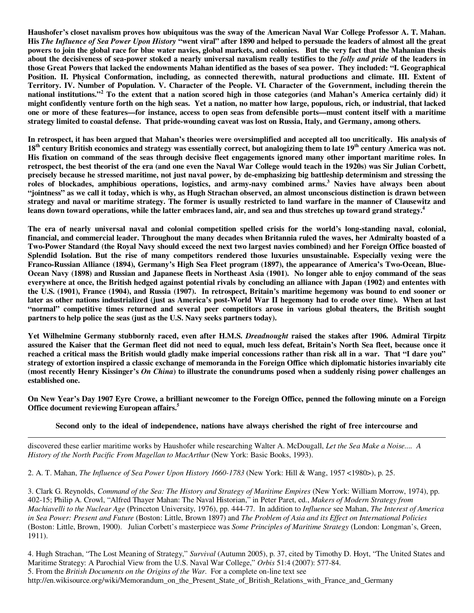**Haushofer's closet navalism proves how ubiquitous was the sway of the American Naval War College Professor A. T. Mahan. His** *The Influence of Sea Power Upon History* **"went viral" after 1890 and helped to persuade the leaders of almost all the great powers to join the global race for blue water navies, global markets, and colonies. But the very fact that the Mahanian thesis about the decisiveness of sea-power stoked a nearly universal navalism really testifies to the** *folly and pride* **of the leaders in those Great Powers that lacked the endowments Mahan identified as the bases of sea power. They included: "I. Geographical Position. II. Physical Conformation, including, as connected therewith, natural productions and climate. III. Extent of Territory. IV. Number of Population. V. Character of the People. VI. Character of the Government, including therein the national institutions."<sup>2</sup> To the extent that a nation scored high in those categories (and Mahan's America certainly did) it might confidently venture forth on the high seas. Yet a nation, no matter how large, populous, rich, or industrial, that lacked one or more of these features—for instance, access to open seas from defensible ports—must content itself with a maritime strategy limited to coastal defense. That pride-wounding caveat was lost on Russia, Italy, and Germany, among others.**

**In retrospect, it has been argued that Mahan's theories were oversimplified and accepted all too uncritically. His analysis of 18th century British economics and strategy was essentially correct, but analogizing them to late 19th century America was not. His fixation on command of the seas through decisive fleet engagements ignored many other important maritime roles. In retrospect, the best theorist of the era (and one even the Naval War College would teach in the 1920s) was Sir Julian Corbett, precisely because he stressed maritime, not just naval power, by de-emphasizing big battleship determinism and stressing the roles of blockades, amphibious operations, logistics, and army-navy combined arms.<sup>3</sup> Navies have always been about "jointness" as we call it today, which is why, as Hugh Strachan observed, an almost unconscious distinction is drawn between strategy and naval or maritime strategy. The former is usually restricted to land warfare in the manner of Clausewitz and leans down toward operations, while the latter embraces land, air, and sea and thus stretches up toward grand strategy.<sup>4</sup>**

**The era of nearly universal naval and colonial competition spelled crisis for the world's long-standing naval, colonial, financial, and commercial leader. Throughout the many decades when Britannia ruled the waves, her Admiralty boasted of a Two-Power Standard (the Royal Navy should exceed the next two largest navies combined) and her Foreign Office boasted of Splendid Isolation. But the rise of many competitors rendered those luxuries unsustainable. Especially vexing were the Franco-Russian Alliance (1894), Germany's High Sea Fleet program (1897), the appearance of America's Two-Ocean, Blue-Ocean Navy (1898) and Russian and Japanese fleets in Northeast Asia (1901). No longer able to enjoy command of the seas everywhere at once, the British hedged against potential rivals by concluding an alliance with Japan (1902) and ententes with the U.S. (1901), France (1904), and Russia (1907). In retrospect, Britain's maritime hegemony was bound to end sooner or later as other nations industrialized (just as America's post-World War II hegemony had to erode over time). When at last "normal" competitive times returned and several peer competitors arose in various global theaters, the British sought partners to help police the seas (just as the U.S. Navy seeks partners today).** 

**Yet Wilhelmine Germany stubbornly raced, even after H.M.S.** *Dreadnought* **raised the stakes after 1906. Admiral Tirpitz assured the Kaiser that the German fleet did not need to equal, much less defeat, Britain's North Sea fleet, because once it reached a critical mass the British would gladly make imperial concessions rather than risk all in a war. That "I dare you" strategy of extortion inspired a classic exchange of memoranda in the Foreign Office which diplomatic histories invariably cite (most recently Henry Kissinger's** *On China***) to illustrate the conundrums posed when a suddenly rising power challenges an established one.** 

**On New Year's Day 1907 Eyre Crowe, a brilliant newcomer to the Foreign Office, penned the following minute on a Foreign Office document reviewing European affairs.<sup>5</sup>**

**Second only to the ideal of independence, nations have always cherished the right of free intercourse and** 

 $\overline{a}$ discovered these earlier maritime works by Haushofer while researching Walter A. McDougall, *Let the Sea Make a Noise.... A History of the North Pacific From Magellan to MacArthur (New York: Basic Books, 1993).* 

2. A. T. Mahan, *The Influence of Sea Power Upon History 1660-1783* (New York: Hill & Wang, 1957 <1980>), p. 25.

3. Clark G. Reynolds, *Command of the Sea: The History and Strategy of Maritime Empires* (New York: William Morrow, 1974), pp. 402-15; Philip A. Crowl, "Alfred Thayer Mahan: The Naval Historian," in Peter Paret, ed., *Makers of Modern Strategy from Machiavelli to the Nuclear Age* (Princeton University, 1976), pp. 444-77. In addition to *Influence* see Mahan, *The Interest of America in Sea Power: Present and Future* (Boston: Little, Brown 1897) and *The Problem of Asia and its Effect on International Policies*  (Boston: Little, Brown, 1900). Julian Corbett's masterpiece was *Some Principles of Maritime Strategy* (London: Longman's, Green, 1911).

4. Hugh Strachan, "The Lost Meaning of Strategy," *Survival* (Autumn 2005), p. 37, cited by Timothy D. Hoyt, "The United States and Maritime Strategy: A Parochial View from the U.S. Naval War College," *Orbis* 51:4 (2007): 577-84. 5. From the *British Documents on the Origins of the War*. For a complete on-line text see http://en.wikisource.org/wiki/Memorandum\_on\_the\_Present\_State\_of\_British\_Relations\_with\_France\_and\_Germany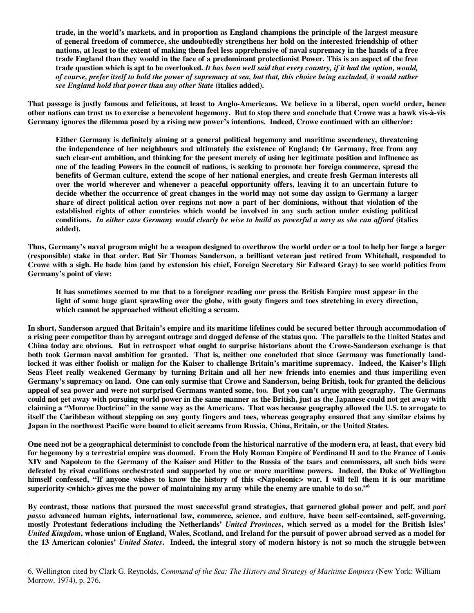**trade, in the world's markets, and in proportion as England champions the principle of the largest measure of general freedom of commerce, she undoubtedly strengthens her hold on the interested friendship of other nations, at least to the extent of making them feel less apprehensive of naval supremacy in the hands of a free trade England than they would in the face of a predominant protectionist Power. This is an aspect of the free trade question which is apt to be overlooked.** *It has been well said that every country, if it had the option, would, of course, prefer itself to hold the power of supremacy at sea, but that, this choice being excluded, it would rather see England hold that power than any other State* **(italics added).** 

**That passage is justly famous and felicitous, at least to Anglo-Americans. We believe in a liberal, open world order, hence other nations can trust us to exercise a benevolent hegemony. But to stop there and conclude that Crowe was a hawk vis-à-vis Germany ignores the dilemma posed by a rising new power's intentions. Indeed, Crowe continued with an either/or:** 

**Either Germany is definitely aiming at a general political hegemony and maritime ascendency, threatening the independence of her neighbours and ultimately the existence of England; Or Germany, free from any such clear-cut ambition, and thinking for the present merely of using her legitimate position and influence as one of the leading Powers in the council of nations, is seeking to promote her foreign commerce, spread the benefits of German culture, extend the scope of her national energies, and create fresh German interests all over the world wherever and whenever a peaceful opportunity offers, leaving it to an uncertain future to decide whether the occurrence of great changes in the world may not some day assign to Germany a larger share of direct political action over regions not now a part of her dominions, without that violation of the established rights of other countries which would be involved in any such action under existing political conditions.** *In either case Germany would clearly be wise to build as powerful a navy as she can afford* **(italics added).** 

**Thus, Germany's naval program might be a weapon designed to overthrow the world order or a tool to help her forge a larger (responsible) stake in that order. But Sir Thomas Sanderson, a brilliant veteran just retired from Whitehall, responded to Crowe with a sigh. He bade him (and by extension his chief, Foreign Secretary Sir Edward Gray) to see world politics from Germany's point of view:** 

**It has sometimes seemed to me that to a foreigner reading our press the British Empire must appear in the light of some huge giant sprawling over the globe, with gouty fingers and toes stretching in every direction, which cannot be approached without eliciting a scream.** 

**In short, Sanderson argued that Britain's empire and its maritime lifelines could be secured better through accommodation of a rising peer competitor than by arrogant outrage and dogged defense of the status quo. The parallels to the United States and China today are obvious. But in retrospect what ought to surprise historians about the Crowe-Sanderson exchange is that both took German naval ambition for granted. That is, neither one concluded that since Germany was functionally landlocked it was either foolish or malign for the Kaiser to challenge Britain's maritime supremacy. Indeed, the Kaiser's High Seas Fleet really weakened Germany by turning Britain and all her new friends into enemies and thus imperiling even Germany's supremacy on land. One can only surmise that Crowe and Sanderson, being British, took for granted the delicious appeal of sea power and were not surprised Germans wanted some, too. But you can't argue with geography. The Germans could not get away with pursuing world power in the same manner as the British, just as the Japanese could not get away with claiming a "Monroe Doctrine" in the same way as the Americans. That was because geography allowed the U.S. to arrogate to itself the Caribbean without stepping on any gouty fingers and toes, whereas geography ensured that any similar claims by Japan in the northwest Pacific were bound to elicit screams from Russia, China, Britain, or the United States.** 

**One need not be a geographical determinist to conclude from the historical narrative of the modern era, at least, that every bid for hegemony by a terrestrial empire was doomed. From the Holy Roman Empire of Ferdinand II and to the France of Louis XIV and Napoleon to the Germany of the Kaiser and Hitler to the Russia of the tsars and commissars, all such bids were defeated by rival coalitions orchestrated and supported by one or more maritime powers. Indeed, the Duke of Wellington himself confessed, "If anyone wishes to know the history of this <Napoleonic> war, I will tell them it is our maritime superiority <which> gives me the power of maintaining my army while the enemy are unable to do so."<sup>6</sup>**

**By contrast, those nations that pursued the most successful grand strategies, that garnered global power and pelf, and** *pari passu* **advanced human rights, international law, commerce, science, and culture, have been self-contained, self-governing, mostly Protestant federations including the Netherlands'** *United Provinces***, which served as a model for the British Isles'**  *United Kingdom***, whose union of England, Wales, Scotland, and Ireland for the pursuit of power abroad served as a model for the 13 American colonies'** *United States***. Indeed, the integral story of modern history is not so much the struggle between** 

 $\overline{a}$ 

<sup>6.</sup> Wellington cited by Clark G. Reynolds, *Command of the Sea: The History and Strategy of Maritime Empires* (New York: William Morrow, 1974), p. 276.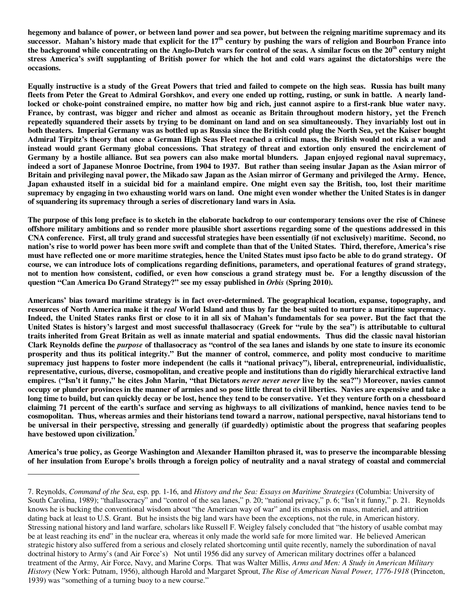**hegemony and balance of power, or between land power and sea power, but between the reigning maritime supremacy and its**  successor. Mahan's history made that explicit for the 17<sup>th</sup> century by pushing the wars of religion and Bourbon France into **the background while concentrating on the Anglo-Dutch wars for control of the seas. A similar focus on the 20th century might stress America's swift supplanting of British power for which the hot and cold wars against the dictatorships were the occasions.** 

**Equally instructive is a study of the Great Powers that tried and failed to compete on the high seas. Russia has built many fleets from Peter the Great to Admiral Gorshkov, and every one ended up rotting, rusting, or sunk in battle. A nearly landlocked or choke-point constrained empire, no matter how big and rich, just cannot aspire to a first-rank blue water navy.** **France, by contrast, was bigger and richer and almost as oceanic as Britain throughout modern history, yet the French repeatedly squandered their assets by trying to be dominant on land and on sea simultaneously. They invariably lost out in both theaters. Imperial Germany was as bottled up as Russia since the British could plug the North Sea, yet the Kaiser bought Admiral Tirpitz's theory that once a German High Seas Fleet reached a critical mass, the British would not risk a war and instead would grant Germany global concessions. That strategy of threat and extortion only ensured the encirclement of Germany by a hostile alliance. But sea powers can also make mortal blunders. Japan enjoyed regional naval supremacy, indeed a sort of Japanese Monroe Doctrine, from 1904 to 1937. But rather than seeing insular Japan as the Asian mirror of Britain and privileging naval power, the Mikado saw Japan as the Asian mirror of Germany and privileged the Army. Hence, Japan exhausted itself in a suicidal bid for a mainland empire. One might even say the British, too, lost their maritime supremacy by engaging in two exhausting world wars on land. One might even wonder whether the United States is in danger of squandering its supremacy through a series of discretionary land wars in Asia.** 

**The purpose of this long preface is to sketch in the elaborate backdrop to our contemporary tensions over the rise of Chinese offshore military ambitions and so render more plausible short assertions regarding some of the questions addressed in this CNA conference. First, all truly grand and successful strategies have been essentially (if not exclusively) maritime. Second, no nation's rise to world power has been more swift and complete than that of the United States. Third, therefore, America's rise must have reflected one or more maritime strategies, hence the United States must ipso facto be able to do grand strategy. Of course, we can introduce lots of complications regarding definitions, parameters, and operational features of grand strategy, not to mention how consistent, codified, or even how conscious a grand strategy must be. For a lengthy discussion of the question "Can America Do Grand Strategy?" see my essay published in** *Orbis* **(Spring 2010).** 

**Americans' bias toward maritime strategy is in fact over-determined. The geographical location, expanse, topography, and resources of North America make it the** *real* **World Island and thus by far the best suited to nurture a maritime supremacy. Indeed, the United States ranks first or close to it in all six of Mahan's fundamentals for sea power. But the fact that the United States is history's largest and most successful thallasocracy (Greek for "rule by the sea") is attributable to cultural traits inherited from Great Britain as well as innate material and spatial endowments. Thus did the classic naval historian Clark Reynolds define the** *purpose* **of thallasocracy as "control of the sea lanes and islands by one state to insure its economic prosperity and thus its political integrity." But the manner of control, commerce, and polity most conducive to maritime supremacy just happens to foster more independent (he calls it "national privacy"), liberal, entrepreneurial, individualistic, representative, curious, diverse, cosmopolitan, and creative people and institutions than do rigidly hierarchical extractive land empires. ("Isn't it funny," he cites John Marin, "that Dictators** *never never never* **live by the sea?") Moreover, navies cannot occupy or plunder provinces in the manner of armies and so pose little threat to civil liberties. Navies are expensive and take a long time to build, but can quickly decay or be lost, hence they tend to be conservative. Yet they venture forth on a chessboard claiming 71 percent of the earth's surface and serving as highways to all civilizations of mankind, hence navies tend to be cosmopolitan. Thus, whereas armies and their historians tend toward a narrow, national perspective, naval historians tend to be universal in their perspective, stressing and generally (if guardedly) optimistic about the progress that seafaring peoples have bestowed upon civilization.<sup>7</sup>**

**America's true policy, as George Washington and Alexander Hamilton phrased it, was to preserve the incomparable blessing of her insulation from Europe's broils through a foreign policy of neutrality and a naval strategy of coastal and commercial** 

 $\overline{a}$ 

<sup>7.</sup> Reynolds, *Command of the Sea*, esp. pp. 1-16, and *History and the Sea: Essays on Maritime Strategies* (Columbia: University of South Carolina, 1989); "thallasocracy" and "control of the sea lanes," p. 20; "national privacy," p. 6; "Isn't it funny," p. 21. Reynolds knows he is bucking the conventional wisdom about "the American way of war" and its emphasis on mass, materiel, and attrition dating back at least to U.S. Grant. But he insists the big land wars have been the exceptions, not the rule, in American history. Stressing national history and land warfare, scholars like Russell F. Weigley falsely concluded that "the history of usable combat may be at least reaching its end" in the nuclear era, whereas it only made the world safe for more limited war. He believed American strategic history also suffered from a serious and closely related shortcoming until quite recently, namely the subordination of naval doctrinal history to Army's (and Air Force's) Not until 1956 did any survey of American military doctrines offer a balanced treatment of the Army, Air Force, Navy, and Marine Corps. That was Walter Millis, *Arms and Men: A Study in American Military History* (New York: Putnam, 1956), although Harold and Margaret Sprout, *The Rise of American Naval Power, 1776-1918* (Princeton, 1939) was "something of a turning buoy to a new course."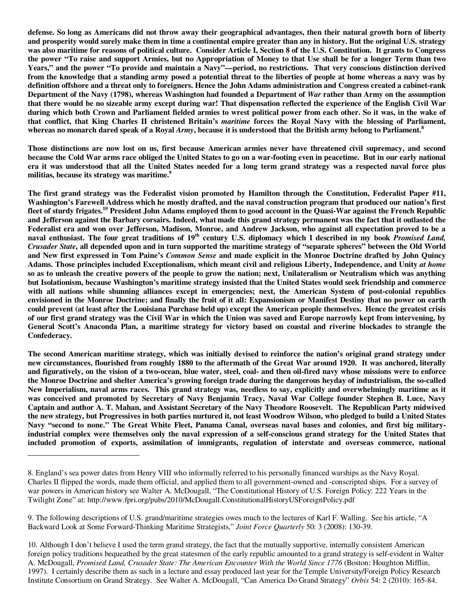**defense. So long as Americans did not throw away their geographical advantages, then their natural growth born of liberty and prosperity would surely make them in time a continental empire greater than any in history. But the original U.S. strategy was also maritime for reasons of political culture. Consider Article I, Section 8 of the U.S. Constitution. It grants to Congress the power "To raise and support Armies, but no Appropriation of Money to that Use shall be for a longer Term than two Years," and the power "To provide and maintain a Navy"—period, no restrictions. That very conscious distinction derived from the knowledge that a standing army posed a potential threat to the liberties of people at home whereas a navy was by definition offshore and a threat only to foreigners. Hence the John Adams administration and Congress created a cabinet-rank Department of the Navy (1798), whereas Washington had founded a Department of** *War* **rather than Army on the assumption that there would be no sizeable army except during war! That dispensation reflected the experience of the English Civil War during which both Crown and Parliament fielded armies to wrest political power from each other. So it was, in the wake of that conflict, that King Charles II christened Britain's** *maritime* **forces the Royal Navy with the blessing of Parliament, whereas no monarch dared speak of a Royal** *Army***, because it is understood that the British army belong to Parliament.<sup>8</sup>**

**Those distinctions are now lost on us, first because American armies never have threatened civil supremacy, and second because the Cold War arms race obliged the United States to go on a war-footing even in peacetime. But in our early national era it was understood that all the United States needed for a long term grand strategy was a respected naval force plus militias, because its strategy was maritime.<sup>9</sup>**

**The first grand strategy was the Federalist vision promoted by Hamilton through the Constitution, Federalist Paper #11, Washington's Farewell Address which he mostly drafted, and the naval construction program that produced our nation's first fleet of sturdy frigates.<sup>10</sup> President John Adams employed them to good account in the Quasi-War against the French Republic and Jefferson against the Barbary corsairs. Indeed, what made this grand strategy permanent was the fact that it outlasted the Federalist era and won over Jefferson, Madison, Monroe, and Andrew Jackson, who against all expectation proved to be a naval enthusiast. The four great traditions of 19th century U.S. diplomacy which I described in my book** *Promised Land, Crusader State***, all depended upon and in turn supported the maritime strategy of "separate spheres" between the Old World and New first expressed in Tom Paine's** *Common Sense* **and made explicit in the Monroe Doctrine drafted by John Quincy Adams. Those principles included Exceptionalism, which meant civil and religious Liberty, Independence, and Unity** *at home* **so as to unleash the creative powers of the people to grow the nation; next, Unilateralism or Neutralism which was anything but Isolationism, because Washington's maritime strategy insisted that the United States would seek friendship and commerce with all nations while shunning alliances except in emergencies; next, the American System of post-colonial republics envisioned in the Monroe Doctrine; and finally the fruit of it all: Expansionism or Manifest Destiny that no power on earth could prevent (at least after the Louisiana Purchase held up) except the American people themselves. Hence the greatest crisis of our first grand strategy was the Civil War in which the Union was saved and Europe narrowly kept from intervening, by General Scott's Anaconda Plan, a maritime strategy for victory based on coastal and riverine blockades to strangle the Confederacy.** 

**The second American maritime strategy, which was initially devised to reinforce the nation's original grand strategy under new circumstances, flourished from roughly 1880 to the aftermath of the Great War around 1920. It was anchored, literally and figuratively, on the vision of a two-ocean, blue water, steel, coal- and then oil-fired navy whose missions were to enforce the Monroe Doctrine and shelter America's growing foreign trade during the dangerous heyday of industrialism, the so-called New Imperialism, naval arms races. This grand strategy was, needless to say, explicitly and overwhelmingly maritime as it was conceived and promoted by Secretary of Navy Benjamin Tracy, Naval War College founder Stephen B. Luce, Navy Captain and author A. T. Mahan, and Assistant Secretary of the Navy Theodore Roosevelt. The Republican Party midwived the new strategy, but Progressives in both parties nurtured it, not least Woodrow Wilson, who pledged to build a United States Navy "second to none." The Great White Fleet, Panama Canal, overseas naval bases and colonies, and first big militaryindustrial complex were themselves only the naval expression of a self-conscious grand strategy for the United States that included promotion of exports, assimilation of immigrants, regulation of interstate and overseas commerce, national** 

-

<sup>8.</sup> England's sea power dates from Henry VIII who informally referred to his personally financed warships as the Navy Royal. Charles II flipped the words, made them official, and applied them to all government-owned and -conscripted ships. For a survey of war powers in American history see Walter A. McDougall, "The Constitutional History of U.S. Foreign Policy: 222 Years in the Twilight Zone" at: http://www.fpri.org/pubs/2010/McDougall.ConstitutionalHistoryUSForeignPolicy.pdf

<sup>9.</sup> The following descriptions of U.S. grand/maritime strategies owes much to the lectures of Karl F. Walling. See his article, "A Backward Look at Some Forward-Thinking Maritime Strategists," *Joint Force Quarterly* 50: 3 (2008): 130-39.

<sup>10.</sup> Although I don't believe I used the term grand strategy, the fact that the mutually supportive, internally consistent American foreign policy traditions bequeathed by the great statesmen of the early republic amounted to a grand strategy is self-evident in Walter A. McDougall, *Promised Land, Crusader State: The American Encounter With the World Since 1776* (Boston: Houghton Mifflin, 1997). I certainly describe them as such in a lecture and essay produced last year for the Temple University/Foreign Policy Research Institute Consortium on Grand Strategy. See Walter A. McDougall, "Can America Do Grand Strategy" *Orbis* 54: 2 (2010): 165-84.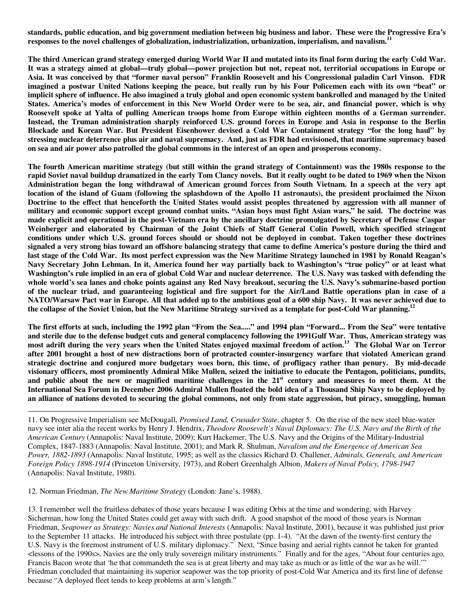**standards, public education, and big government mediation between big business and labor. These were the Progressive Era's responses to the novel challenges of globalization, industrialization, urbanization, imperialism, and navalism.<sup>11</sup>**

**The third American grand strategy emerged during World War II and mutated into its final form during the early Cold War. It was a strategy aimed at global—truly global—power projection but not, repeat not, territorial occupations in Europe or Asia. It was conceived by that "former naval person" Franklin Roosevelt and his Congressional paladin Carl Vinson. FDR imagined a postwar United Nations keeping the peace, but really run by his Four Policemen each with its own "beat" or implicit sphere of influence. He also imagined a truly global and open economic system bankrolled and managed by the United States. America's modes of enforcement in this New World Order were to be sea, air, and financial power, which is why Roosevelt spoke at Yalta of pulling American troops home from Europe within eighteen months of a German surrender. Instead, the Truman administration sharply reinforced U.S. ground forces in Europe and Asia in response to the Berlin Blockade and Korean War. But President Eisenhower devised a Cold War Containment strategy "for the long haul" by stressing nuclear deterrence plus air and naval supremacy. And, just as FDR had envisioned, that maritime supremacy based on sea and air power also patrolled the global commons in the interest of an open and prosperous economy.** 

**The fourth American maritime strategy (but still within the grand strategy of Containment) was the 1980s response to the rapid Soviet naval buildup dramatized in the early Tom Clancy novels. But it really ought to be dated to 1969 when the Nixon Administration began the long withdrawal of American ground forces from South Vietnam. In a speech at the very apt location of the island of Guam (following the splashdown of the Apollo 11 astronauts), the president proclaimed the Nixon Doctrine to the effect that henceforth the United States would assist peoples threatened by aggression with all manner of military and economic support except ground combat units. "Asian boys must fight Asian wars," he said. The doctrine was made explicit and operational in the post-Vietnam era by the ancillary doctrine promulgated by Secretary of Defense Caspar Weinberger and elaborated by Chairman of the Joint Chiefs of Staff General Colin Powell, which specified stringent conditions under which U.S. ground forces should or should not be deployed in combat. Taken together these doctrines signaled a very strong bias toward an offshore balancing strategy that came to define America's posture during the third and last stage of the Cold War. Its most perfect expression was the New Maritime Strategy launched in 1981 by Ronald Reagan's Navy Secretary John Lehman. In it, America found her way partially back to Washington's "true policy" or at least what Washington's rule implied in an era of global Cold War and nuclear deterrence. The U.S. Navy was tasked with defending the whole world's sea lanes and choke points against any Red Navy breakout, securing the U.S. Navy's submarine-based portion of the nuclear triad, and guaranteeing logistical and fire support for the Air/Land Battle operations plan in case of a NATO/Warsaw Pact war in Europe. All that added up to the ambitious goal of a 600 ship Navy. It was never achieved due to the collapse of the Soviet Union, but the New Maritime Strategy survived as a template for post-Cold War planning.<sup>12</sup>**

**The first efforts at such, including the 1992 plan "From the Sea....." and 1994 plan "Forward... From the Sea" were tentative and sterile due to the defense budget cuts and general complacency following the 1991Gulf War. Thus, American strategy was most adrift during the very years when the United States enjoyed maximal freedom of action.<sup>13</sup> The Global War on Terror after 2001 brought a host of new distractions born of protracted counter-insurgency warfare that violated American grand strategic doctrine and conjured more budgetary woes born, this time, of profligacy rather than penury. By mid-decade visionary officers, most prominently Admiral Mike Mullen, seized the initiative to educate the Pentagon, politicians, pundits,**  and public about the new or magnified maritime challenges in the 21<sup>st</sup> century and measures to meet them. At the **International Sea Forum in December 2006 Admiral Mullen floated the bold idea of a Thousand Ship Navy to be deployed by an alliance of nations devoted to securing the global commons, not only from state aggression, but piracy, smuggling, human** 

12. Norman Friedman, *The New Maritime Strategy* (London: Jane's, 1988).

-

<sup>11.</sup> On Progressive Imperialism see McDougall, *Promised Land, Crusader State*, chapter 5. On the rise of the new steel blue-water navy see inter alia the recent works by Henry J. Hendrix, *Theodore Roosevelt's Naval Diplomacy: The U.S. Navy and the Birth of the American Century* (Annapolis: Naval Institute, 2009); Kurt Hackemer, The U.S. Navy and the Origins of the Military-Industrial Complex, 1847-1883 (Annapolis: Naval Institute, 2001); and Mark R. Shulman, *Navalism and the Emergence of American Sea Power, 1882-1893* (Annapolis: Naval Institute, 1995; as well as the classics Richard D. Challener, *Admirals, Generals, and American Foreign Policy 1898-1914* (Princeton University, 1973), and Robert Greenhalgh Albion, *Makers of Naval Policy, 1798-1947*  (Annapolis: Naval Institute, 1980).

<sup>13.</sup> I remember well the fruitless debates of those years because I was editing Orbis at the time and wondering, with Harvey Sicherman, how long the United States could get away with such drift. A good snapshot of the mood of those years is Norman Friedman, *Seapower as Strategy: Navies and National Interests* (Annapolis: Naval Institute, 2001), because it was published just prior to the September 11 attacks. He introduced his subject with three postulate (pp. 1-4). "At the dawn of the twenty-first century the U.S. Navy is the foremost instrument of U.S. military diplomacy." Next, "Since basing and aerial rights cannot be taken for granted <lessons of the 1990s>, Navies are the only truly sovereign military instruments." Finally and for the ages, "About four centuries ago, Francis Bacon wrote that 'he that commandeth the sea is at great liberty and may take as much or as little of the war as he will.'" Friedman concluded that maintaining its superior seapower was the top priority of post-Cold War America and its first line of defense because "A deployed fleet tends to keep problems at arm's length."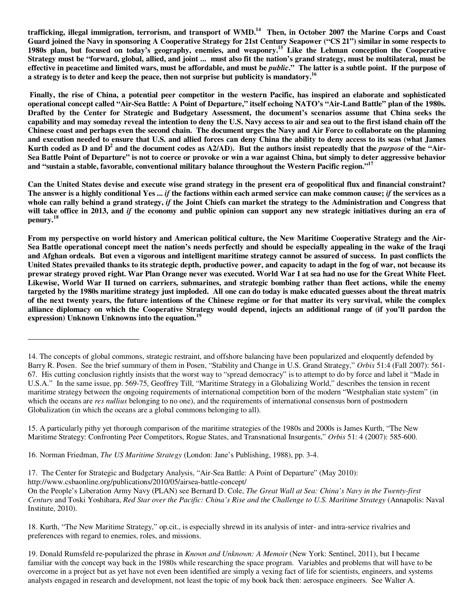**trafficking, illegal immigration, terrorism, and transport of WMD.<sup>14</sup> Then, in October 2007 the Marine Corps and Coast Guard joined the Navy in sponsoring A Cooperative Strategy for 21st Century Seapower ("CS 21") similar in some respects to 1980s plan, but focused on today's geography, enemies, and weaponry.<sup>15</sup> Like the Lehman conception the Cooperative Strategy must be "forward, global, allied, and joint ... must also fit the nation's grand strategy, must be multilateral, must be effective in peacetime and limited wars, must be affordable, and must be** *public***." The latter is a subtle point. If the purpose of a strategy is to deter and keep the peace, then not surprise but publicity is mandatory.<sup>16</sup>**

 **Finally, the rise of China, a potential peer competitor in the western Pacific, has inspired an elaborate and sophisticated operational concept called "Air-Sea Battle: A Point of Departure," itself echoing NATO's "Air-Land Battle" plan of the 1980s. Drafted by the Center for Strategic and Budgetary Assessment, the document's scenarios assume that China seeks the capability and may someday reveal the intention to deny the U.S. Navy access to air and sea out to the first island chain off the Chinese coast and perhaps even the second chain. The document urges the Navy and Air Force to collaborate on the planning and execution needed to ensure that U.S. and allied forces can deny China the ability to deny access to its seas (what James**  Kurth coded as D and D<sup>2</sup> and the document codes as A2/AD). But the authors insist repeatedly that the *purpose* of the "Air-**Sea Battle Point of Departure" is not to coerce or provoke or win a war against China, but simply to deter aggressive behavior and "sustain a stable, favorable, conventional military balance throughout the Western Pacific region."<sup>17</sup>**

**Can the United States devise and execute wise grand strategy in the present era of geopolitical flux and financial constraint? The answer is a highly conditional Yes ...** *if* **the factions within each armed service can make common cause;** *if* **the services as a whole can rally behind a grand strategy,** *if* **the Joint Chiefs can market the strategy to the Administration and Congress that will take office in 2013, and** *if* **the economy and public opinion can support any new strategic initiatives during an era of penury.<sup>18</sup>**

**From my perspective on world history and American political culture, the New Maritime Cooperative Strategy and the Air-Sea Battle operational concept meet the nation's needs perfectly and should be especially appealing in the wake of the Iraqi and Afghan ordeals. But even a vigorous and intelligent maritime strategy cannot be assured of success. In past conflicts the United States prevailed thanks to its strategic depth, productive power, and capacity to adapt in the fog of war, not because its prewar strategy proved right. War Plan Orange never was executed. World War I at sea had no use for the Great White Fleet. Likewise, World War II turned on carriers, submarines, and strategic bombing rather than fleet actions, while the enemy targeted by the 1980s maritime strategy just imploded. All one can do today is make educated guesses about the threat matrix of the next twenty years, the future intentions of the Chinese regime or for that matter its very survival, while the complex alliance diplomacy on which the Cooperative Strategy would depend, injects an additional range of (if you'll pardon the expression) Unknown Unknowns into the equation.<sup>19</sup>**

17. The Center for Strategic and Budgetary Analysis, "Air-Sea Battle: A Point of Departure" (May 2010):

http://www.csbaonline.org/publications/2010/05/airsea-battle-concept/

 $\overline{a}$ 

On the People's Liberation Army Navy (PLAN) see Bernard D. Cole, *The Great Wall at Sea: China's Navy in the Twenty-first Century* and Toski Yoshihara, *Red Star over the Pacific: China's Rise and the Challenge to U.S. Maritime Strategy* (Annapolis: Naval Institute, 2010).

18. Kurth, "The New Maritime Strategy," op.cit., is especially shrewd in its analysis of inter- and intra-service rivalries and preferences with regard to enemies, roles, and missions.

19. Donald Rumsfeld re-popularized the phrase in *Known and Unknown: A Memoir* (New York: Sentinel, 2011), but I became familiar with the concept way back in the 1980s while researching the space program. Variables and problems that will have to be overcome in a project but as yet have not even been identified are simply a vexing fact of life for scientists, engineers, and systems analysts engaged in research and development, not least the topic of my book back then: aerospace engineers. See Walter A.

<sup>14.</sup> The concepts of global commons, strategic restraint, and offshore balancing have been popularized and eloquently defended by Barry R. Posen. See the brief summary of them in Posen, "Stability and Change in U.S. Grand Strategy," *Orbis* 51:4 (Fall 2007): 561- 67. His cutting conclusion rightly insists that the worst way to "spread democracy" is to attempt to do by force and label it "Made in U.S.A." In the same issue, pp. 569-75, Geoffrey Till, "Maritime Strategy in a Globalizing World," describes the tension in recent maritime strategy between the ongoing requirements of international competition born of the modern "Westphalian state system" (in which the oceans are *res nullius* belonging to no one), and the requirements of international consensus born of postmodern Globalization (in which the oceans are a global commons belonging to all).

<sup>15.</sup> A particularly pithy yet thorough comparison of the maritime strategies of the 1980s and 2000s is James Kurth, "The New Maritime Strategy: Confronting Peer Competitors, Rogue States, and Transnational Insurgents," *Orbis* 51: 4 (2007): 585-600.

<sup>16.</sup> Norman Friedman, *The US Maritime Strategy* (London: Jane's Publishing, 1988), pp. 3-4.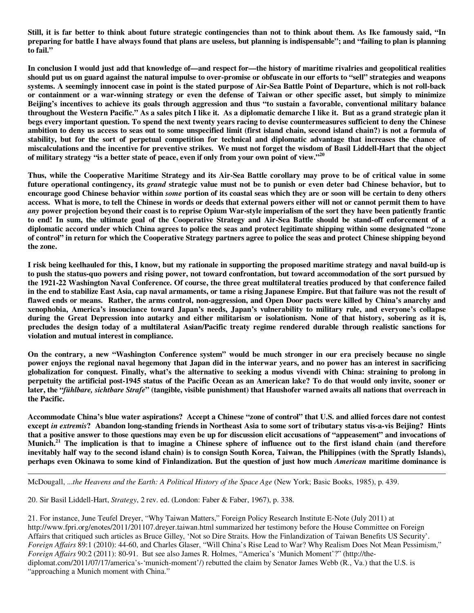**Still, it is far better to think about future strategic contingencies than not to think about them. As Ike famously said, "In preparing for battle I have always found that plans are useless, but planning is indispensable"; and "failing to plan is planning to fail."** 

**In conclusion I would just add that knowledge of—and respect for—the history of maritime rivalries and geopolitical realities should put us on guard against the natural impulse to over-promise or obfuscate in our efforts to "sell" strategies and weapons systems. A seemingly innocent case in point is the stated purpose of Air-Sea Battle Point of Departure, which is not roll-back or containment or a war-winning strategy or even the defense of Taiwan or other specific asset, but simply to minimize Beijing's incentives to achieve its goals through aggression and thus "to sustain a favorable, conventional military balance throughout the Western Pacific." As a sales pitch I like it. As a diplomatic demarche I like it. But as a grand strategic plan it begs every important question. To spend the next twenty years racing to devise countermeasures sufficient to deny the Chinese ambition to deny us access to seas out to some unspecified limit (first island chain, second island chain?) is not a formula of stability, but for the sort of perpetual competition for technical and diplomatic advantage that increases the chance of miscalculations and the incentive for preventive strikes. We must not forget the wisdom of Basil Liddell-Hart that the object of military strategy "is a better state of peace, even if only from your own point of view."<sup>20</sup>**

**Thus, while the Cooperative Maritime Strategy and its Air-Sea Battle corollary may prove to be of critical value in some future operational contingency, its** *grand* **strategic value must not be to punish or even deter bad Chinese behavior, but to encourage good Chinese behavior within** *some* **portion of its coastal seas which they are or soon will be certain to deny others access. What is more, to tell the Chinese in words or deeds that external powers either will not or cannot permit them to have** *any* **power projection beyond their coast is to reprise Opium War-style imperialism of the sort they have been patiently frantic to end! In sum, the ultimate goal of the Cooperative Strategy and Air-Sea Battle should be stand-off enforcement of a diplomatic accord under which China agrees to police the seas and protect legitimate shipping within some designated "zone of control" in return for which the Cooperative Strategy partners agree to police the seas and protect Chinese shipping beyond the zone.** 

**I risk being keelhauled for this, I know, but my rationale in supporting the proposed maritime strategy and naval build-up is to push the status-quo powers and rising power, not toward confrontation, but toward accommodation of the sort pursued by the 1921-22 Washington Naval Conference. Of course, the three great multilateral treaties produced by that conference failed in the end to stabilize East Asia, cap naval armaments, or tame a rising Japanese Empire. But that failure was not the result of flawed ends or means. Rather, the arms control, non-aggression, and Open Door pacts were killed by China's anarchy and xenophobia, America's insouciance toward Japan's needs, Japan's vulnerability to military rule, and everyone's collapse during the Great Depression into autarky and either militarism or isolationism. None of that history, sobering as it is, precludes the design today of a multilateral Asian/Pacific treaty regime rendered durable through realistic sanctions for violation and mutual interest in compliance.** 

**On the contrary, a new "Washington Conference system" would be much stronger in our era precisely because no single power enjoys the regional naval hegemony that Japan did in the interwar years, and no power has an interest in sacrificing globalization for conquest. Finally, what's the alternative to seeking a modus vivendi with China: straining to prolong in perpetuity the artificial post-1945 status of the Pacific Ocean as an American lake? To do that would only invite, sooner or later, the "***fühlbare, sichtbare Strafe***" (tangible, visible punishment) that Haushofer warned awaits all nations that overreach in the Pacific.** 

**Accommodate China's blue water aspirations? Accept a Chinese "zone of control" that U.S. and allied forces dare not contest except** *in extremis***? Abandon long-standing friends in Northeast Asia to some sort of tributary status vis-a-vis Beijing? Hints that a positive answer to those questions may even be up for discussion elicit accusations of "appeasement" and invocations of Munich.<sup>21</sup> The implication is that to imagine a Chinese sphere of influence out to the first island chain (and therefore inevitably half way to the second island chain) is to consign South Korea, Taiwan, the Philippines (with the Spratly Islands), perhaps even Okinawa to some kind of Finlandization. But the question of just how much** *American* **maritime dominance is** 

McDougall, ...*the Heavens and the Earth: A Political History of the Space Age* (New York; Basic Books, 1985), p. 439.

20. Sir Basil Liddell-Hart, *Strategy*, 2 rev. ed. (London: Faber & Faber, 1967), p. 338.

-

21. For instance, June Teufel Dreyer, "Why Taiwan Matters," Foreign Policy Research Institute E-Note (July 2011) at http://www.fpri.org/enotes/2011/201107.dreyer.taiwan.html summarized her testimony before the House Committee on Foreign Affairs that critiqued such articles as Bruce Gilley, 'Not so Dire Straits. How the Finlandization of Taiwan Benefits US Security'. *Foreign Affairs* 89:1 (2010): 44-60, and Charles Glaser, "Will China's Rise Lead to War? Why Realism Does Not Mean Pessimism," *Foreign Affairs* 90:2 (2011): 80-91. But see also James R. Holmes, "America's 'Munich Moment'?" (http://thediplomat.com/2011/07/17/america's-'munich-moment'/) rebutted the claim by Senator James Webb (R., Va.) that the U.S. is "approaching a Munich moment with China."